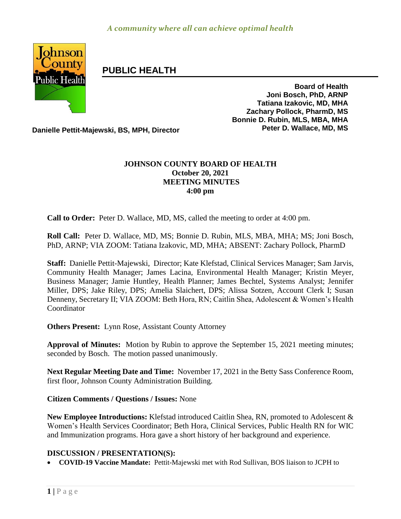

# **PUBLIC HEALTH**

**Board of Health Joni Bosch, PhD, ARNP Tatiana Izakovic, MD, MHA Zachary Pollock, PharmD, MS Bonnie D. Rubin, MLS, MBA, MHA**

**Danielle Pettit-Majewski, BS, MPH, Director Peter D. Wallace, MD, MS** 

### **JOHNSON COUNTY BOARD OF HEALTH October 20, 2021 MEETING MINUTES 4:00 pm**

**Call to Order:** Peter D. Wallace, MD, MS, called the meeting to order at 4:00 pm.

**Roll Call:** Peter D. Wallace, MD, MS; Bonnie D. Rubin, MLS, MBA, MHA; MS; Joni Bosch, PhD, ARNP; VIA ZOOM: Tatiana Izakovic, MD, MHA; ABSENT: Zachary Pollock, PharmD

**Staff:** Danielle Pettit-Majewski, Director; Kate Klefstad, Clinical Services Manager; Sam Jarvis, Community Health Manager; James Lacina, Environmental Health Manager; Kristin Meyer, Business Manager; Jamie Huntley, Health Planner; James Bechtel, Systems Analyst; Jennifer Miller, DPS; Jake Riley, DPS; Amelia Slaichert, DPS; Alissa Sotzen, Account Clerk I; Susan Denneny, Secretary II; VIA ZOOM: Beth Hora, RN; Caitlin Shea, Adolescent & Women's Health Coordinator

**Others Present:** Lynn Rose, Assistant County Attorney

**Approval of Minutes:** Motion by Rubin to approve the September 15, 2021 meeting minutes; seconded by Bosch. The motion passed unanimously.

**Next Regular Meeting Date and Time:** November 17, 2021 in the Betty Sass Conference Room, first floor, Johnson County Administration Building.

**Citizen Comments / Questions / Issues:** None

**New Employee Introductions:** Klefstad introduced Caitlin Shea, RN, promoted to Adolescent & Women's Health Services Coordinator; Beth Hora, Clinical Services, Public Health RN for WIC and Immunization programs. Hora gave a short history of her background and experience.

### **DISCUSSION / PRESENTATION(S):**

**COVID-19 Vaccine Mandate:** Pettit-Majewski met with Rod Sullivan, BOS liaison to JCPH to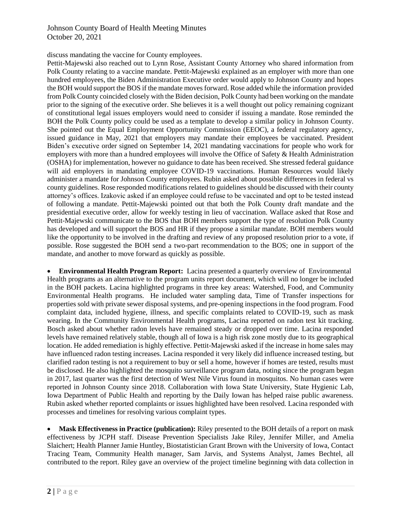#### Johnson County Board of Health Meeting Minutes October 20, 2021

discuss mandating the vaccine for County employees.

Pettit-Majewski also reached out to Lynn Rose, Assistant County Attorney who shared information from Polk County relating to a vaccine mandate. Pettit-Majewski explained as an employer with more than one hundred employees, the Biden Administration Executive order would apply to Johnson County and hopes the BOH would support the BOS if the mandate moves forward. Rose added while the information provided from Polk County coincided closely with the Biden decision, Polk County had been working on the mandate prior to the signing of the executive order. She believes it is a well thought out policy remaining cognizant of constitutional legal issues employers would need to consider if issuing a mandate. Rose reminded the BOH the Polk County policy could be used as a template to develop a similar policy in Johnson County. She pointed out the Equal Employment Opportunity Commission (EEOC), a federal regulatory agency, issued guidance in May, 2021 that employers may mandate their employees be vaccinated. President Biden's executive order signed on September 14, 2021 mandating vaccinations for people who work for employers with more than a hundred employees will involve the Office of Safety & Health Administration (OSHA) for implementation, however no guidance to date has been received. She stressed federal guidance will aid employers in mandating employee COVID-19 vaccinations. Human Resources would likely administer a mandate for Johnson County employees. Rubin asked about possible differences in federal vs county guidelines. Rose responded modifications related to guidelines should be discussed with their county attorney's offices. Izakovic asked if an employee could refuse to be vaccinated and opt to be tested instead of following a mandate. Pettit-Majewski pointed out that both the Polk County draft mandate and the presidential executive order, allow for weekly testing in lieu of vaccination. Wallace asked that Rose and Pettit-Majewski communicate to the BOS that BOH members support the type of resolution Polk County has developed and will support the BOS and HR if they propose a similar mandate. BOH members would like the opportunity to be involved in the drafting and review of any proposed resolution prior to a vote, if possible. Rose suggested the BOH send a two-part recommendation to the BOS; one in support of the mandate, and another to move forward as quickly as possible.

 **Environmental Health Program Report:** Lacina presented a quarterly overview of Environmental Health programs as an alternative to the program units report document, which will no longer be included in the BOH packets. Lacina highlighted programs in three key areas: Watershed, Food, and Community Environmental Health programs. He included water sampling data, Time of Transfer inspections for properties sold with private sewer disposal systems, and pre-opening inspections in the food program. Food complaint data, included hygiene, illness, and specific complaints related to COVID-19, such as mask wearing. In the Community Environmental Health programs, Lacina reported on radon test kit tracking. Bosch asked about whether radon levels have remained steady or dropped over time. Lacina responded levels have remained relatively stable, though all of Iowa is a high risk zone mostly due to its geographical location. He added remediation is highly effective. Pettit-Majewski asked if the increase in home sales may have influenced radon testing increases. Lacina responded it very likely did influence increased testing, but clarified radon testing is not a requirement to buy or sell a home, however if homes are tested, results must be disclosed. He also highlighted the mosquito surveillance program data, noting since the program began in 2017, last quarter was the first detection of West Nile Virus found in mosquitos. No human cases were reported in Johnson County since 2018. Collaboration with Iowa State University, State Hygienic Lab, Iowa Department of Public Health and reporting by the Daily Iowan has helped raise public awareness. Rubin asked whether reported complaints or issues highlighted have been resolved. Lacina responded with processes and timelines for resolving various complaint types.

 **Mask Effectiveness in Practice (publication):** Riley presented to the BOH details of a report on mask effectiveness by JCPH staff. Disease Prevention Specialists Jake Riley, Jennifer Miller, and Amelia Slaichert; Health Planner Jamie Huntley, Biostatistician Grant Brown with the University of Iowa, Contact Tracing Team, Community Health manager, Sam Jarvis, and Systems Analyst, James Bechtel, all contributed to the report. Riley gave an overview of the project timeline beginning with data collection in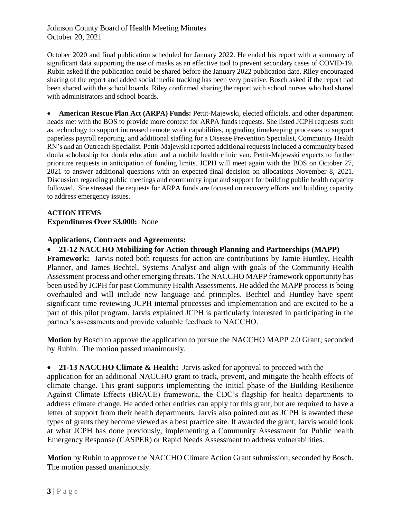Johnson County Board of Health Meeting Minutes October 20, 2021

October 2020 and final publication scheduled for January 2022. He ended his report with a summary of significant data supporting the use of masks as an effective tool to prevent secondary cases of COVID-19. Rubin asked if the publication could be shared before the January 2022 publication date. Riley encouraged sharing of the report and added social media tracking has been very positive. Bosch asked if the report had been shared with the school boards. Riley confirmed sharing the report with school nurses who had shared with administrators and school boards.

 **American Rescue Plan Act (ARPA) Funds:** Pettit-Majewski, elected officials, and other department heads met with the BOS to provide more context for ARPA funds requests. She listed JCPH requests such as technology to support increased remote work capabilities, upgrading timekeeping processes to support paperless payroll reporting, and additional staffing for a Disease Prevention Specialist, Community Health RN's and an Outreach Specialist. Pettit-Majewski reported additional requests included a community based doula scholarship for doula education and a mobile health clinic van. Pettit-Majewski expects to further prioritize requests in anticipation of funding limits. JCPH will meet again with the BOS on October 27, 2021 to answer additional questions with an expected final decision on allocations November 8, 2021. Discussion regarding public meetings and community input and support for building public health capacity followed. She stressed the requests for ARPA funds are focused on recovery efforts and building capacity to address emergency issues.

### **ACTION ITEMS Expenditures Over \$3,000:** None

### **Applications, Contracts and Agreements:**

**21-12 NACCHO Mobilizing for Action through Planning and Partnerships (MAPP)**

**Framework:** Jarvis noted both requests for action are contributions by Jamie Huntley, Health Planner, and James Bechtel, Systems Analyst and align with goals of the Community Health Assessment process and other emerging threats. The NACCHO MAPP framework opportunity has been used by JCPH for past Community Health Assessments. He added the MAPP process is being overhauled and will include new language and principles. Bechtel and Huntley have spent significant time reviewing JCPH internal processes and implementation and are excited to be a part of this pilot program. Jarvis explained JCPH is particularly interested in participating in the partner's assessments and provide valuable feedback to NACCHO.

**Motion** by Bosch to approve the application to pursue the NACCHO MAPP 2.0 Grant; seconded by Rubin. The motion passed unanimously.

**21-13 NACCHO Climate & Health:** Jarvis asked for approval to proceed with the

application for an additional NACCHO grant to track, prevent, and mitigate the health effects of climate change. This grant supports implementing the initial phase of the Building Resilience Against Climate Effects (BRACE) framework, the CDC's flagship for health departments to address climate change. He added other entities can apply for this grant, but are required to have a letter of support from their health departments. Jarvis also pointed out as JCPH is awarded these types of grants they become viewed as a best practice site. If awarded the grant, Jarvis would look at what JCPH has done previously, implementing a Community Assessment for Public health Emergency Response (CASPER) or Rapid Needs Assessment to address vulnerabilities.

**Motion** by Rubin to approve the NACCHO Climate Action Grant submission; seconded by Bosch. The motion passed unanimously.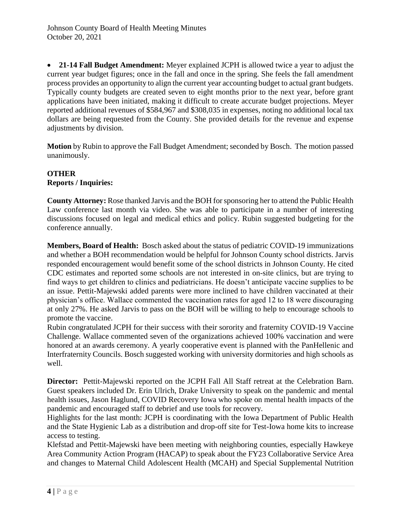**21-14 Fall Budget Amendment:** Meyer explained JCPH is allowed twice a year to adjust the current year budget figures; once in the fall and once in the spring. She feels the fall amendment process provides an opportunity to align the current year accounting budget to actual grant budgets. Typically county budgets are created seven to eight months prior to the next year, before grant applications have been initiated, making it difficult to create accurate budget projections. Meyer reported additional revenues of \$584,967 and \$308,035 in expenses, noting no additional local tax dollars are being requested from the County. She provided details for the revenue and expense adjustments by division.

**Motion** by Rubin to approve the Fall Budget Amendment; seconded by Bosch. The motion passed unanimously.

## **OTHER**

### **Reports / Inquiries:**

**County Attorney:** Rose thanked Jarvis and the BOH for sponsoring her to attend the Public Health Law conference last month via video. She was able to participate in a number of interesting discussions focused on legal and medical ethics and policy. Rubin suggested budgeting for the conference annually.

**Members, Board of Health:** Bosch asked about the status of pediatric COVID-19 immunizations and whether a BOH recommendation would be helpful for Johnson County school districts. Jarvis responded encouragement would benefit some of the school districts in Johnson County. He cited CDC estimates and reported some schools are not interested in on-site clinics, but are trying to find ways to get children to clinics and pediatricians. He doesn't anticipate vaccine supplies to be an issue. Pettit-Majewski added parents were more inclined to have children vaccinated at their physician's office. Wallace commented the vaccination rates for aged 12 to 18 were discouraging at only 27%. He asked Jarvis to pass on the BOH will be willing to help to encourage schools to promote the vaccine.

Rubin congratulated JCPH for their success with their sorority and fraternity COVID-19 Vaccine Challenge. Wallace commented seven of the organizations achieved 100% vaccination and were honored at an awards ceremony. A yearly cooperative event is planned with the PanHellenic and Interfraternity Councils. Bosch suggested working with university dormitories and high schools as well.

**Director:** Pettit-Majewski reported on the JCPH Fall All Staff retreat at the Celebration Barn. Guest speakers included Dr. Erin Ulrich, Drake University to speak on the pandemic and mental health issues, Jason Haglund, COVID Recovery Iowa who spoke on mental health impacts of the pandemic and encouraged staff to debrief and use tools for recovery.

Highlights for the last month: JCPH is coordinating with the Iowa Department of Public Health and the State Hygienic Lab as a distribution and drop-off site for Test-Iowa home kits to increase access to testing.

Klefstad and Pettit-Majewski have been meeting with neighboring counties, especially Hawkeye Area Community Action Program (HACAP) to speak about the FY23 Collaborative Service Area and changes to Maternal Child Adolescent Health (MCAH) and Special Supplemental Nutrition